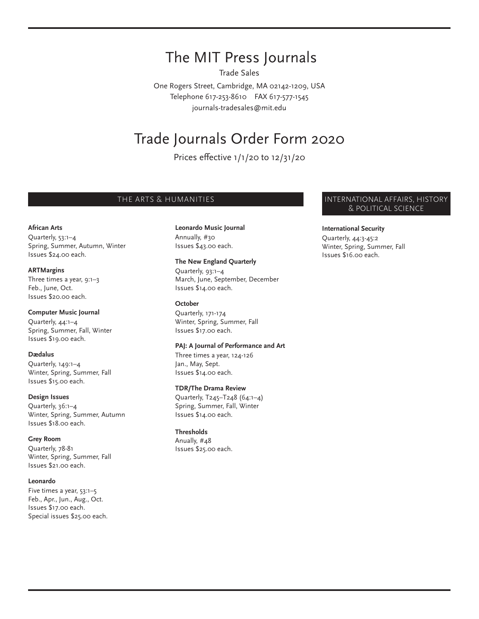# The MIT Press Journals

Trade Sales

One Rogers Street, Cambridge, MA 02142-1209, USA Telephone 617-253-8610 FAX 617-577-1545 journals-tradesales@mit.edu

# Trade Journals Order Form 2020

Prices effective 1/1/20 to 12/31/20

#### **African Arts**

Quarterly, 53:1–4 Spring, Summer, Autumn, Winter Issues \$24.00 each.

#### **ARTMargins**

Three times a year, 9:1–3 Feb., June, Oct. Issues \$20.00 each.

#### **Computer Music Journal**

Quarterly, 44:1–4 Spring, Summer, Fall, Winter Issues \$19.00 each.

#### **Dædalus**

Quarterly, 149:1–4 Winter, Spring, Summer, Fall Issues \$15.00 each.

#### **Design Issues**

Quarterly, 36:1–4 Winter, Spring, Summer, Autumn Issues \$18.00 each.

#### **Grey Room**

Quarterly, 78-81 Winter, Spring, Summer, Fall Issues \$21.00 each.

#### **Leonardo**

Five times a year, 53:1–5 Feb., Apr., Jun., Aug., Oct. Issues \$17.00 each. Special issues \$25.00 each.

## **Leonardo Music Journal**

Annually, #30 Issues \$43.00 each.

#### **The New England Quarterly**

Quarterly, 93:1–4 March, June, September, December Issues \$14.00 each.

#### **October**

Quarterly, 171-174 Winter, Spring, Summer, Fall Issues \$17.00 each.

#### **PAJ: A Journal of Performance and Art**

Three times a year, 124-126 Jan., May, Sept. Issues \$14.00 each.

#### **TDR/The Drama Review**

Quarterly, T245–T248 (64:1–4) Spring, Summer, Fall, Winter Issues \$14.00 each.

#### **Thresholds**

Anually, #48 Issues \$25.00 each.

### THE ARTS & HUMANITIES **INTERNATIONAL AFFAIRS, HISTORY** & POLITICAL SCIENCE

#### **International Security**

Quarterly, 44:3-45:2 Winter, Spring, Summer, Fall Issues \$16.00 each.